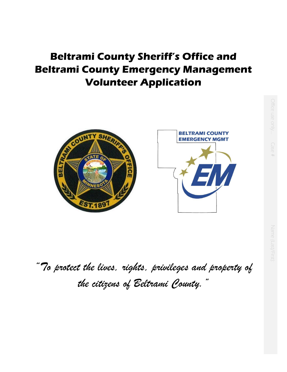# **Beltrami County Sheriff's Office and Beltrami County Emergency Management Volunteer Application**



*"To protect the lives, rights, privileges and property of the citizens of Beltrami County."*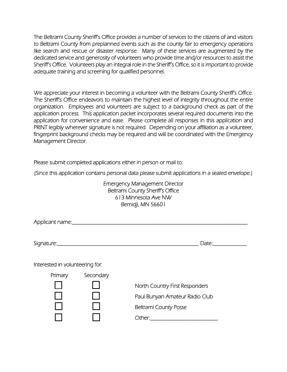The Beltrami County Sheriff's Office provides a number of services to the citizens of and visitors to Beltrami County from preplanned events such as the county fair to emergency operations like search and rescue or disaster response. Many of these services are augmented by the dedicated service and generosity of volunteers who provide time and/or resources to assist the Sheriff's Office. Volunteers play an integral role in the Sheriff's Office, so it is important to provide adequate training and screening for qualified personnel.

We appreciate your interest in becoming a volunteer with the Beltrami County Sheriff's Office. The Sheriff's Office endeavors to maintain the highest level of integrity throughout the entire organization. Employees and volunteers are subject to a background check as part of the application process. This application packet incorporates several required documents into the application for convenience and ease. Please complete all responses in this application and PRINT legibly wherever signature is not required. Depending on your affiliation as a volunteer, fingerprint background checks may be required and will be coordinated with the Emergency Management Director.

Please submit completed applications either in person or mail to:

(Since this application contains personal data please submit applications in a sealed envelope.)

Emergency Management Director Beltrami County Sheriff's Office 613 Minnesota Ave NW Bemidji, MN 56601

|                                 |           | Date: and the state of the state of the state of the state of the state of the state of the state of the state |
|---------------------------------|-----------|----------------------------------------------------------------------------------------------------------------|
| Interested in volunteering for: |           |                                                                                                                |
| Primary                         | Secondary |                                                                                                                |
|                                 |           | North Country First Responders                                                                                 |
|                                 |           | Paul Bunyan Amateur Radio Club                                                                                 |
|                                 |           | <b>Beltrami County Posse</b>                                                                                   |
|                                 |           | Other:                                                                                                         |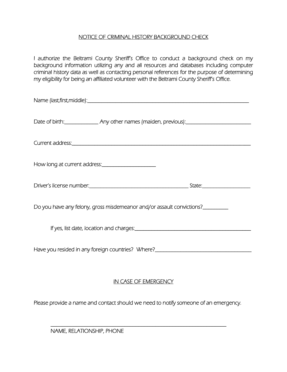## NOTICE OF CRIMINAL HISTORY BACKGROUND CHECK

I authorize the Beltrami County Sheriff's Office to conduct a background check on my background information utilizing any and all resources and databases including computer criminal history data as well as contacting personal references for the purpose of determining my eligibility for being an affiliated volunteer with the Beltrami County Sheriff's Office.

| Date of birth: _________________ Any other names (maiden, previous): ______________________________ |
|-----------------------------------------------------------------------------------------------------|
|                                                                                                     |
| How long at current address:_______________________                                                 |
|                                                                                                     |
| Do you have any felony, gross misdemeanor and/or assault convictions?__________                     |
|                                                                                                     |
| Have you resided in any foreign countries? Where?_______________________________                    |
| <b>IN CASE OF EMERGENCY</b>                                                                         |
| Please provide a name and contact should we need to notify someone of an emergency.                 |

\_\_\_\_\_\_\_\_\_\_\_\_\_\_\_\_\_\_\_\_\_\_\_\_\_\_\_\_\_\_\_\_\_\_\_\_\_\_\_\_\_\_\_\_\_\_\_\_\_\_\_\_\_\_\_\_\_\_\_\_\_\_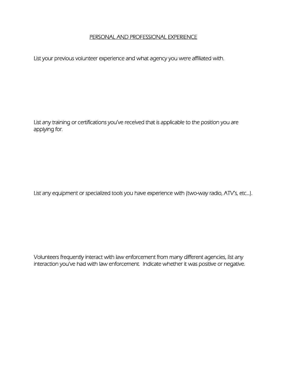#### PERSONAL AND PROFESSIONAL EXPERIENCE

List your previous volunteer experience and what agency you were affiliated with.

List any training or certifications you've received that is applicable to the position you are applying for.

List any equipment or specialized tools you have experience with (two-way radio, ATV's, etc…).

Volunteers frequently interact with law enforcement from many different agencies, list any interaction you've had with law enforcement. Indicate whether it was positive or negative.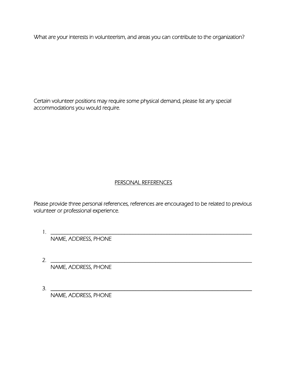What are your interests in volunteerism, and areas you can contribute to the organization?

Certain volunteer positions may require some physical demand, please list any special accommodations you would require.

## PERSONAL REFERENCES

Please provide three personal references, references are encouraged to be related to previous volunteer or professional experience.

 $1. \tfrac{1}{2}$ NAME, ADDRESS, PHONE

2.  $\frac{1}{2}$ NAME, ADDRESS, PHONE

3. \_\_\_\_\_\_\_\_\_\_\_\_\_\_\_\_\_\_\_\_\_\_\_\_\_\_\_\_\_\_\_\_\_\_\_\_\_\_\_\_\_\_\_\_\_\_\_\_\_\_\_\_\_\_\_\_\_\_\_\_\_\_\_\_\_\_\_\_\_\_\_ NAME, ADDRESS, PHONE